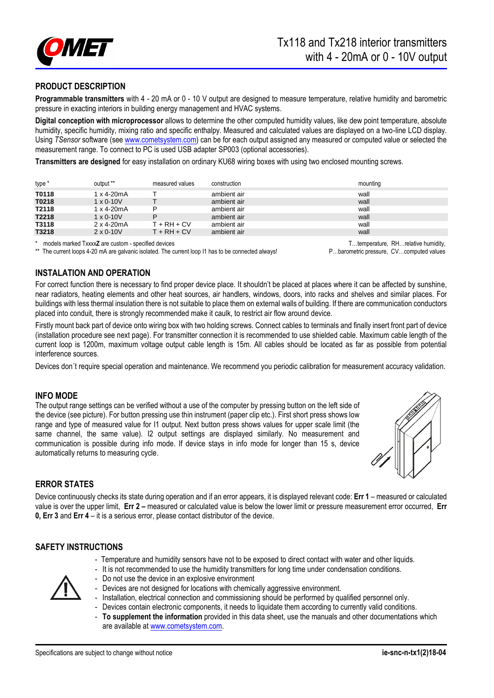

# **PRODUCT DESCRIPTION**

**Programmable transmitters** with 4 - 20 mA or 0 - 10 V output are designed to measure temperature, relative humidity and barometric pressure in exacting interiors in building energy management and HVAC systems.

**Digital conception with microprocessor** allows to determine the other computed humidity values, like dew point temperature, absolute humidity, specific humidity, mixing ratio and specific enthalpy. Measured and calculated values are displayed on a two-line LCD display. Using *TSensor* software (se[e www.cometsystem.com\)](http://www.cometsystem.com/) can be for each output assigned any measured or computed value or selected the measurement range. To connect to PC is used USB adapter SP003 (optional accessories).

**Transmitters are designed** for easy installation on ordinary KU68 wiring boxes with using two enclosed mounting screws.

| type * | output **            | measured values | construction | mounting |
|--------|----------------------|-----------------|--------------|----------|
| T0118  | 1 x 4-20mA           |                 | ambient air  | wall     |
| T0218  | $1 \times 0 - 10V$   |                 | ambient air  | wall     |
| T2118  | 1 x 4-20mA           |                 | ambient air  | wall     |
| T2218  | $1 \times 0 - 10V$   | D               | ambient air  | wall     |
| T3118  | $2 \times 4 - 20$ mA | $T + RH + CV$   | ambient air  | wall     |
| T3218  | $2 \times 0 - 10V$   | $T + RH + CV$   | ambient air  | wall     |

models marked Txxx**x<sub>z</sub>** are custom - specified devices and the current loop 11 has to be connected always!<br>The current loops 4-20 mA are galvanic isolated. The current loop 11 has to be connected always!<br>P...barometric pr The current loops 4-20 mA are galvanic isolated. The current loop I1 has to be connected always!

**INSTALATION AND OPERATION** 

For correct function there is necessary to find proper device place. It shouldn't be placed at places where it can be affected by sunshine, near radiators, heating elements and other heat sources, air handlers, windows, doors, into racks and shelves and similar places. For buildings with less thermal insulation there is not suitable to place them on external walls of building. If there are communication conductors placed into conduit, there is strongly recommended make it caulk, to restrict air flow around device.

Firstly mount back part of device onto wiring box with two holding screws. Connect cables to terminals and finally insert front part of device (installation procedure see next page). For transmitter connection it is recommended to use shielded cable. Maximum cable length of the current loop is 1200m, maximum voltage output cable length is 15m. All cables should be located as far as possible from potential interference sources.

Devices don´t require special operation and maintenance. We recommend you periodic calibration for measurement accuracy validation.

### **INFO MODE**

The output range settings can be verified without a use of the computer by pressing button on the left side of the device (see picture). For button pressing use thin instrument (paper clip etc.). First short press shows low range and type of measured value for I1 output. Next button press shows values for upper scale limit (the same channel, the same value). I2 output settings are displayed similarly. No measurement and communication is possible during info mode. If device stays in info mode for longer than 15 s, device automatically returns to measuring cycle.



# **ERROR STATES**

Device continuously checks its state during operation and if an error appears, it is displayed relevant code: **Err 1** – measured or calculated value is over the upper limit, **Err 2 –** measured or calculated value is below the lower limit or pressure measurement error occurred, **Err 0, Err 3** and **Err 4** – it is a serious error, please contact distributor of the device.

### **SAFETY INSTRUCTIONS**

- Temperature and humidity sensors have not to be exposed to direct contact with water and other liquids.
- It is not recommended to use the humidity transmitters for long time under condensation conditions.
- Do not use the device in an explosive environment
- Devices are not designed for locations with chemically aggressive environment.
- Installation, electrical connection and commissioning should be performed by qualified personnel only.
- Devices contain electronic components, it needs to liquidate them according to currently valid conditions.
- **To supplement the information** provided in this data sheet, use the manuals and other documentations which are available a[t www.cometsystem.com.](http://www.cometsystem.cz/)